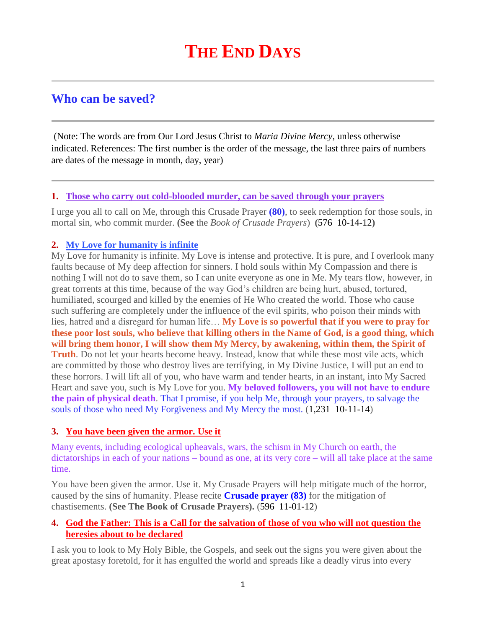# **Who can be saved?**

(Note: The words are from Our Lord Jesus Christ to *Maria Divine Mercy*, unless otherwise indicated. References: The first number is the order of the message, the last three pairs of numbers are dates of the message in month, day, year)

#### **1. [Those who carry out cold-blooded murder, can be saved through your prayers](http://www.thewarningsecondcoming.com/those-who-carry-out-cold-blooded-murder-can-be-saved-through-your-prayers/)**

I urge you all to call on Me, through this Crusade Prayer **(80)**, to seek redemption for those souls, in mortal sin, who commit murder. **(See** the *Book of Crusade Prayers*) **(**576 10-14-12**)**

## **2. [My Love for humanity is infinite](http://www.thewarningsecondcoming.com/my-love-for-humanity-is-infinite/)**

My Love for humanity is infinite. My Love is intense and protective. It is pure, and I overlook many faults because of My deep affection for sinners. I hold souls within My Compassion and there is nothing I will not do to save them, so I can unite everyone as one in Me. My tears flow, however, in great torrents at this time, because of the way God's children are being hurt, abused, tortured, humiliated, scourged and killed by the enemies of He Who created the world. Those who cause such suffering are completely under the influence of the evil spirits, who poison their minds with lies, hatred and a disregard for human life… **My Love is so powerful that if you were to pray for these poor lost souls, who believe that killing others in the Name of God, is a good thing, which will bring them honor, I will show them My Mercy, by awakening, within them, the Spirit of Truth**. Do not let your hearts become heavy. Instead, know that while these most vile acts, which are committed by those who destroy lives are terrifying, in My Divine Justice, I will put an end to these horrors. I will lift all of you, who have warm and tender hearts, in an instant, into My Sacred Heart and save you, such is My Love for you. **My beloved followers, you will not have to endure the pain of physical death**. That I promise, if you help Me, through your prayers, to salvage the souls of those who need My Forgiveness and My Mercy the most. (1,231 10-11-14)

## **3. [You have been given the armor. Use it](http://www.thewarningsecondcoming.com/you-have-been-given-the-armour-use-it/)**

Many events, including ecological upheavals, wars, the schism in My Church on earth, the dictatorships in each of your nations – bound as one, at its very core – will all take place at the same time.

You have been given the armor. Use it. My Crusade Prayers will help mitigate much of the horror, caused by the sins of humanity. Please recite **Crusade prayer (83)** for the mitigation of chastisements. **(See The Book of Crusade Prayers).** (596 11-01-12)

## **4. [God the Father: This is a Call for the salvation of those of you who will not question the](http://www.thewarningsecondcoming.com/god-the-father-this-is-a-call-for-the-salvation-of-those-of-you-who-will-not-question-the-heresies-about-to-be-declared/)  [heresies about to be declared](http://www.thewarningsecondcoming.com/god-the-father-this-is-a-call-for-the-salvation-of-those-of-you-who-will-not-question-the-heresies-about-to-be-declared/)**

I ask you to look to My Holy Bible, the Gospels, and seek out the signs you were given about the great apostasy foretold, for it has engulfed the world and spreads like a deadly virus into every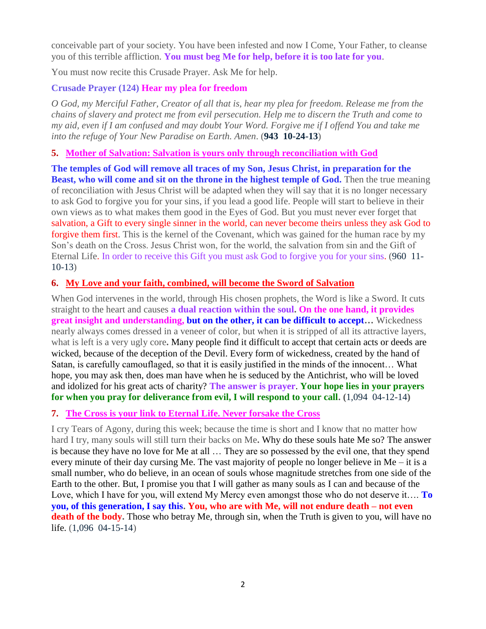conceivable part of your society. You have been infested and now I Come, Your Father, to cleanse you of this terrible affliction. **You must beg Me for help, before it is too late for you**.

You must now recite this Crusade Prayer. Ask Me for help.

## **Crusade Prayer (124) Hear my plea for freedom**

*O God, my Merciful Father, Creator of all that is, hear my plea for freedom. Release me from the chains of slavery and protect me from evil persecution. Help me to discern the Truth and come to my aid, even if I am confused and may doubt Your Word. Forgive me if I offend You and take me into the refuge of Your New Paradise on Earth. Amen*. (**943 10-24-13**)

## **5. [Mother of Salvation: Salvation is yours only through reconciliation with God](http://www.thewarningsecondcoming.com/mother-of-salvation-salvation-is-yours-only-through-reconciliation-with-god/)**

**The temples of God will remove all traces of my Son, Jesus Christ, in preparation for the Beast, who will come and sit on the throne in the highest temple of God.** Then the true meaning of reconciliation with Jesus Christ will be adapted when they will say that it is no longer necessary to ask God to forgive you for your sins, if you lead a good life. People will start to believe in their own views as to what makes them good in the Eyes of God. But you must never ever forget that salvation, a Gift to every single sinner in the world, can never become theirs unless they ask God to forgive them first. This is the kernel of the Covenant, which was gained for the human race by my Son's death on the Cross. Jesus Christ won, for the world, the salvation from sin and the Gift of Eternal Life. In order to receive this Gift you must ask God to forgive you for your sins. (960 11- 10-13)

## **6. [My Love and your faith, combined, will become the Sword of Salvation](http://www.thewarningsecondcoming.com/my-love-and-your-faith-combined-will-become-the-sword-of-salvation/)**

When God intervenes in the world, through His chosen prophets, the Word is like a Sword. It cuts straight to the heart and causes **a dual reaction within the soul. On the one hand, it provides great insight and understanding, but on the other, it can be difficult to accept…** Wickedness nearly always comes dressed in a veneer of color, but when it is stripped of all its attractive layers, what is left is a very ugly core**.** Many people find it difficult to accept that certain acts or deeds are wicked, because of the deception of the Devil. Every form of wickedness, created by the hand of Satan, is carefully camouflaged, so that it is easily justified in the minds of the innocent… What hope, you may ask then, does man have when he is seduced by the Antichrist, who will be loved and idolized for his great acts of charity? **The answer is prayer**. **Your hope lies in your prayers for when you pray for deliverance from evil, I will respond to your call. (**1,094 04-12-14**)**

## **7. [The Cross is your link to Eternal Life. Never forsake](http://www.thewarningsecondcoming.com/the-cross-is-your-link-to-eternal-life-never-forsake-the-cross/) the Cross**

I cry Tears of Agony, during this week; because the time is short and I know that no matter how hard I try, many souls will still turn their backs on Me**.** Why do these souls hate Me so? The answer is because they have no love for Me at all … They are so possessed by the evil one, that they spend every minute of their day cursing Me. The vast majority of people no longer believe in Me – it is a small number, who do believe, in an ocean of souls whose magnitude stretches from one side of the Earth to the other. But, I promise you that I will gather as many souls as I can and because of the Love, which I have for you, will extend My Mercy even amongst those who do not deserve it…. **To you, of this generation, I say this. You, who are with Me, will not endure death – not even death of the body.** Those who betray Me, through sin, when the Truth is given to you, will have no life. (1,096 04-15-14)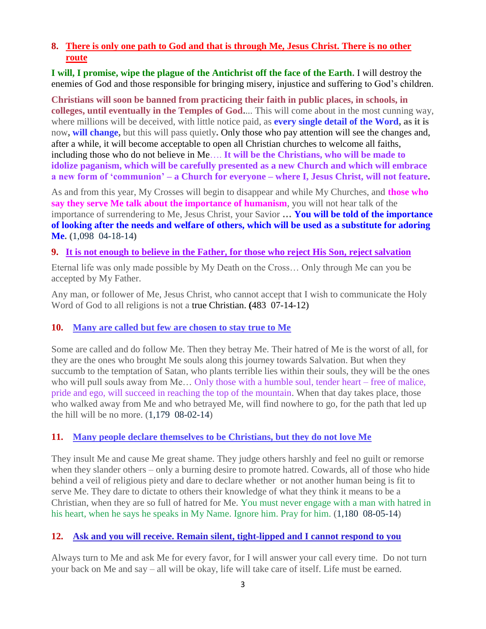## **8. [There is only one path to God and that is through Me, Jesus Christ. There is no other](http://www.thewarningsecondcoming.com/there-is-only-one-path-to-god-and-that-is-through-me-jesus-christ-there-is-no-other-route/)  [route](http://www.thewarningsecondcoming.com/there-is-only-one-path-to-god-and-that-is-through-me-jesus-christ-there-is-no-other-route/)**

**I will, I promise, wipe the plague of the Antichrist off the face of the Earth.** I will destroy the enemies of God and those responsible for bringing misery, injustice and suffering to God's children.

**Christians will soon be banned from practicing their faith in public places, in schools, in colleges, until eventually in the Temples of God.**... This will come about in the most cunning way, where millions will be deceived, with little notice paid, as **every single detail of the Word, as it is**  now**, will change,** but this will pass quietly**.** Only those who pay attention will see the changes and, after a while, it will become acceptable to open all Christian churches to welcome all faiths, including those who do not believe in Me…. **It will be the Christians, who will be made to idolize paganism, which will be carefully presented as a new Church and which will embrace a new form of 'communion' – a Church for everyone – where I, Jesus Christ, will not feature.**

As and from this year, My Crosses will begin to disappear and while My Churches, and **those who say they serve Me talk about the importance of humanism**, you will not hear talk of the importance of surrendering to Me, Jesus Christ, your Savior **… You will be told of the importance of looking after the needs and welfare of others, which will be used as a substitute for adoring Me. (**1,098 04-18-14**)**

## **9. [It is not enough to believe in the Father,](http://www.thewarningsecondcoming.com/it-is-not-enough-to-believe-in-the-father-for-those-who-reject-his-son-reject-salvation/) for those who reject His Son, reject salvation**

Eternal life was only made possible by My Death on the Cross… Only through Me can you be accepted by My Father.

Any man, or follower of Me, Jesus Christ, who cannot accept that I wish to communicate the Holy Word of God to all religions is not a true Christian. **(**483 07-14-12)

## **10. [Many are called but few are chosen to stay true to Me](http://www.thewarningsecondcoming.com/many-are-called-but-few-are-chosen-to-stay-true-to-me/)**

Some are called and do follow Me. Then they betray Me. Their hatred of Me is the worst of all, for they are the ones who brought Me souls along this journey towards Salvation. But when they succumb to the temptation of Satan, who plants terrible lies within their souls, they will be the ones who will pull souls away from Me… Only those with a humble soul, tender heart – free of malice, pride and ego, will succeed in reaching the top of the mountain. When that day takes place, those who walked away from Me and who betrayed Me, will find nowhere to go, for the path that led up the hill will be no more.  $(1,179 \ 08-02-14)$ 

## **11. [Many people declare themselves to be Christians, but they do not love Me](http://www.thewarningsecondcoming.com/many-people-declare-themselves-to-be-christians-but-they-do-not-love-me/)**

They insult Me and cause Me great shame. They judge others harshly and feel no guilt or remorse when they slander others – only a burning desire to promote hatred. Cowards, all of those who hide behind a veil of religious piety and dare to declare whether or not another human being is fit to serve Me. They dare to dictate to others their knowledge of what they think it means to be a Christian, when they are so full of hatred for Me. You must never engage with a man with hatred in his heart, when he says he speaks in My Name. Ignore him. Pray for him. (1,180 08-05-14)

## **12. [Ask and you will receive. Remain silent, tight-lipped and I cannot respond to you](http://www.thewarningsecondcoming.com/ask-and-you-will-receive-remain-silent-tight-lipped-and-i-cannot-respond-to-you/)**

Always turn to Me and ask Me for every favor, for I will answer your call every time. Do not turn your back on Me and say – all will be okay, life will take care of itself. Life must be earned.